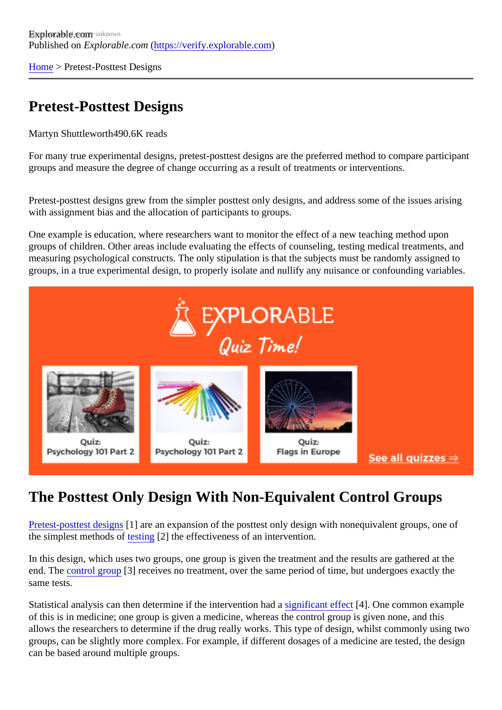[Home](https://verify.explorable.com/)> Pretest-Posttest Designs

## Pretest-Posttest Designs

Martyn Shuttlewort<sup>490.6K</sup> reads

For many true experimental designs, pretest-posttest designs are the preferred method to compare partici groups and measure the degree of change occurring as a result of treatments or interventions.

Pretest-posttest designs grew from the simpler posttest only designs, and address some of the issues aris with assignment bias and the allocation of participants to groups.

One example is education, where researchers want to monitor the effect of a new teaching method upon groups of children. Other areas include evaluating the effects of counseling, testing medical treatments, and measuring psychological constructs. The only stipulation is that the subjects must be randomly assigned to groups, in a true experimental design, to properly isolate and nullify any nuisance or confounding variables.

## The Posttest Only Design With Non-Equivalent Control Groups

[Pretest-posttest desig](http://cehd.gmu.edu/assets/docs/faculty_publications/dimitrov/file5.pdf)ns are an expansion of the posttest only design with nonequivalent groups, one of the simplest methods  $\omega$ sting[2] the effectiveness of an intervention.

In this design, which uses two groups, one group is given the treatment and the results are gathered at the end. Th[e control group](https://verify.explorable.com/scientific-control-group) [3] receives no treatment, over the same period of time, but undergoes exactly the same tests.

Statistical analysis can then determine if the intervention baghaticant effect<sup>[4]</sup>. One common example of this is in medicine; one group is given a medicine, whereas the control group is given none, and this allows the researchers to determine if the drug really works. This type of design, whilst commonly using two groups, can be slightly more complex. For example, if different dosages of a medicine are tested, the design can be based around multiple groups.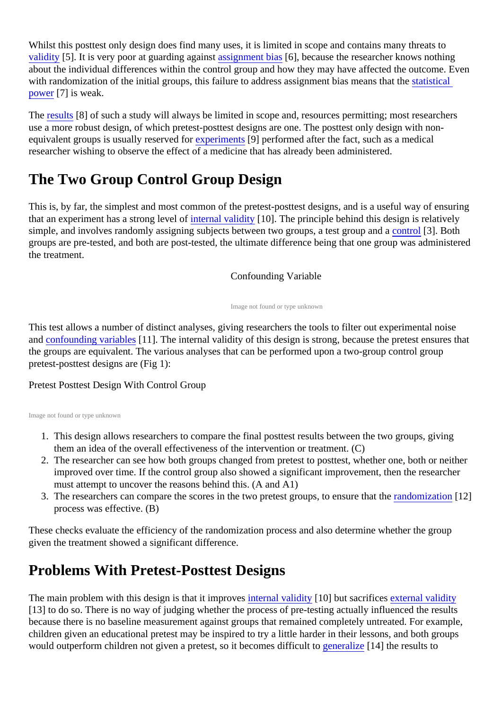Whilst this posttest only design does find many uses, it is limited in scope and contains many threats to [validity](https://verify.explorable.com/types-of-validity) [5]. It is very poor at guarding against signment bians ], because the researcher knows nothing about the individual differences within the control group and how they may have affected the outcome. Eve with randomization of the initial groups, this failure to address assignment bias meansstratistingal [power](https://verify.explorable.com/statistical-power-analysis)[7] is weak.

The [results](https://verify.explorable.com/statistically-significant-results)<sup>[8]</sup> of such a study will always be limited in scope and, resources permitting; most researchers use a more robust design, of which pretest-posttest designs are one. The posttest only design with nonequivalent groups is usually reserved *t*ore riments[9] performed after the fact, such as a medical researcher wishing to observe the effect of a medicine that has already been administered.

# The Two Group Control Group Design

This is, by far, the simplest and most common of the pretest-posttest designs, and is a useful way of ensuring that an experiment has a strong level hot internal validity [10]. The principle behind this design is relatively simple, and involves randomly assigning subjects between two groups, a test gro[up and](https://verify.explorable.com/scientific-control-group) [3]. Both groups are pre-tested, and both are post-tested, the ultimate difference being that one group was administerthe treatment.

#### Confounding Variable

Image not found or type unknown

This test allows a number of distinct analyses, giving researchers the tools to filter out experimental noise an[d confounding variable](https://verify.explorable.com/confounding-variables)s 11. The internal validity of this design is strong, because the pretest ensures that the groups are equivalent. The various analyses that can be performed upon a two-group control group pretest-posttest designs are (Fig 1):

#### Pretest Posttest Design With Control Group

Image not found or type unknown

- 1. This design allows researchers to compare the final posttest results between the two groups, giving them an idea of the overall effectiveness of the intervention or treatment. (C)
- 2. The researcher can see how both groups changed from pretest to posttest, whether one, both or neither improved over time. If the control group also showed a significant improvement, then the researcher must attempt to uncover the reasons behind this. (A and A1)
- 3. The researchers can compare the scores in the two pretest groups, to ensure that it the ration [12] process was effective. (B)

These checks evaluate the efficiency of the randomization process and also determine whether the group given the treatment showed a significant difference.

## Problems With Pretest-Posttest Designs

The main problem with this design is that it improire ernal validity[10] but sacrifice sexternal validity [13] to do so. There is no way of judging whether the process of pre-testing actually influenced the results because there is no baseline measurement against groups that remained completely untreated. For exam children given an educational pretest may be inspired to try a little harder in their lessons, and both groups would outperform children not given a pretest, so it becomes diffic[ult to generalize](https://verify.explorable.com/what-is-generalization) [14] the results to